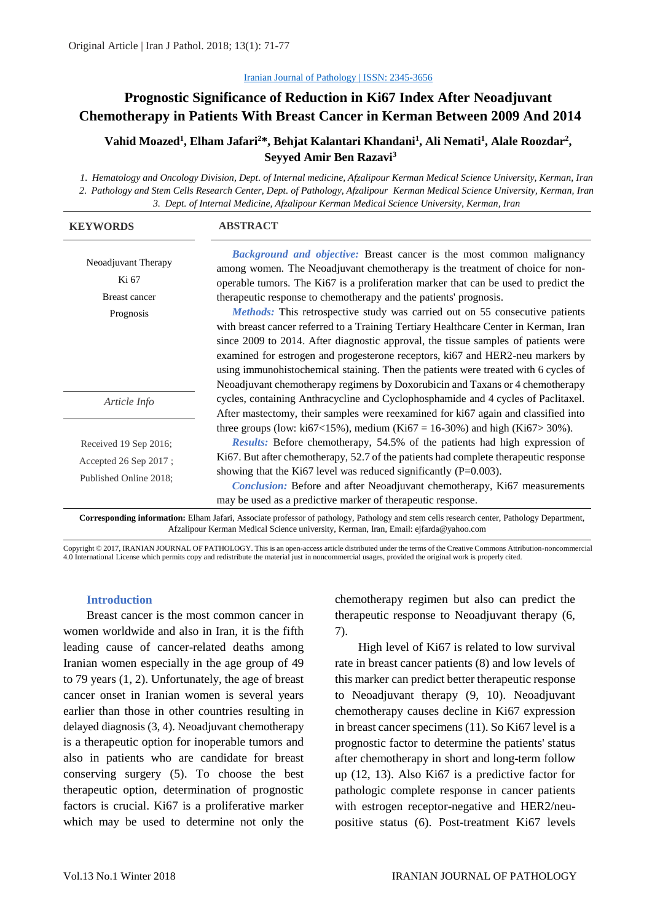#### [Iranian Journal of Pathology | ISSN: 2345-3656](http://ijp.iranpath.org/)

# **Prognostic Significance of Reduction in Ki67 Index After Neoadjuvant Chemotherapy in Patients With Breast Cancer in Kerman Between 2009 And 2014**

### **Vahid Moazed<sup>1</sup> , Elham Jafari<sup>2</sup>\*, Behjat Kalantari Khandani<sup>1</sup> , Ali Nemati<sup>1</sup> , Alale Roozdar<sup>2</sup> , Seyyed Amir Ben Razavi<sup>3</sup>**

*1. Hematology and Oncology Division, Dept. of Internal medicine, Afzalipour Kerman Medical Science University, Kerman, Iran 2. Pathology and Stem Cells Research Center, Dept. of Pathology, Afzalipour Kerman Medical Science University, Kerman, Iran 3. Dept. of Internal Medicine, Afzalipour Kerman Medical Science University, Kerman, Iran* 

| <b>KEYWORDS</b>                                                                                                                            | <b>ABSTRACT</b>                                                                                                                                                                                                                                                                                                                                                                                                                                                                                                                                                                                                                                                                                                                                           |  |
|--------------------------------------------------------------------------------------------------------------------------------------------|-----------------------------------------------------------------------------------------------------------------------------------------------------------------------------------------------------------------------------------------------------------------------------------------------------------------------------------------------------------------------------------------------------------------------------------------------------------------------------------------------------------------------------------------------------------------------------------------------------------------------------------------------------------------------------------------------------------------------------------------------------------|--|
| Neoadjuvant Therapy<br>Ki 67<br>Breast cancer<br>Prognosis                                                                                 | Background and objective: Breast cancer is the most common malignancy<br>among women. The Neoadjuvant chemotherapy is the treatment of choice for non-<br>operable tumors. The Ki67 is a proliferation marker that can be used to predict the<br>therapeutic response to chemotherapy and the patients' prognosis.<br>Methods: This retrospective study was carried out on 55 consecutive patients<br>with breast cancer referred to a Training Tertiary Healthcare Center in Kerman, Iran<br>since 2009 to 2014. After diagnostic approval, the tissue samples of patients were<br>examined for estrogen and progesterone receptors, ki67 and HER2-neu markers by<br>using immunohistochemical staining. Then the patients were treated with 6 cycles of |  |
| Article Info                                                                                                                               | Neoadjuvant chemotherapy regimens by Doxorubicin and Taxans or 4 chemotherapy<br>cycles, containing Anthracycline and Cyclophosphamide and 4 cycles of Paclitaxel.<br>After mastectomy, their samples were reexamined for ki67 again and classified into                                                                                                                                                                                                                                                                                                                                                                                                                                                                                                  |  |
|                                                                                                                                            | three groups (low: ki67<15%), medium (Ki67 = 16-30%) and high (Ki67>30%).                                                                                                                                                                                                                                                                                                                                                                                                                                                                                                                                                                                                                                                                                 |  |
| Received 19 Sep 2016;                                                                                                                      | <i>Results:</i> Before chemotherapy, 54.5% of the patients had high expression of                                                                                                                                                                                                                                                                                                                                                                                                                                                                                                                                                                                                                                                                         |  |
| Accepted 26 Sep 2017;                                                                                                                      | Ki67. But after chemotherapy, 52.7 of the patients had complete therapeutic response                                                                                                                                                                                                                                                                                                                                                                                                                                                                                                                                                                                                                                                                      |  |
| Published Online 2018:                                                                                                                     | showing that the Ki67 level was reduced significantly $(P=0.003)$ .                                                                                                                                                                                                                                                                                                                                                                                                                                                                                                                                                                                                                                                                                       |  |
|                                                                                                                                            | <b>Conclusion:</b> Before and after Neoadjuvant chemotherapy, Ki67 measurements<br>may be used as a predictive marker of therapeutic response.                                                                                                                                                                                                                                                                                                                                                                                                                                                                                                                                                                                                            |  |
| Corresponding information: Elham Jafari, Associate professor of pathology, Pathology and stem cells research center, Pathology Department, |                                                                                                                                                                                                                                                                                                                                                                                                                                                                                                                                                                                                                                                                                                                                                           |  |

Afzalipour Kerman Medical Science university, Kerman, Iran, Email: ejfarda@yahoo.com

Copyright © 2017, IRANIAN JOURNAL OF PATHOLOGY. This is an open-access article distributed under the terms of the Creative Commons Attribution-noncommercial 4.0 International License which permits copy and redistribute the material just in noncommercial usages, provided the original work is properly cited.

#### **Introduction**

Breast cancer is the most common cancer in women worldwide and also in Iran, it is the fifth leading cause of cancer-related deaths among Iranian women especially in the age group of 49 to 79 years (1, 2). Unfortunately, the age of breast cancer onset in Iranian women is several years earlier than those in other countries resulting in delayed diagnosis (3, 4). Neoadjuvant chemotherapy is a therapeutic option for inoperable tumors and also in patients who are candidate for breast conserving surgery (5). To choose the best therapeutic option, determination of prognostic factors is crucial. Ki67 is a proliferative marker which may be used to determine not only the chemotherapy regimen but also can predict the therapeutic response to Neoadjuvant therapy (6, 7).

High level of Ki67 is related to low survival rate in breast cancer patients (8) and low levels of this marker can predict better therapeutic response to Neoadjuvant therapy (9, 10). Neoadjuvant chemotherapy causes decline in Ki67 expression in breast cancer specimens (11). So Ki67 level is a prognostic factor to determine the patients' status after chemotherapy in short and long-term follow up (12, 13). Also Ki67 is a predictive factor for pathologic complete response in cancer patients with estrogen receptor-negative and HER2/neupositive status (6). Post-treatment Ki67 levels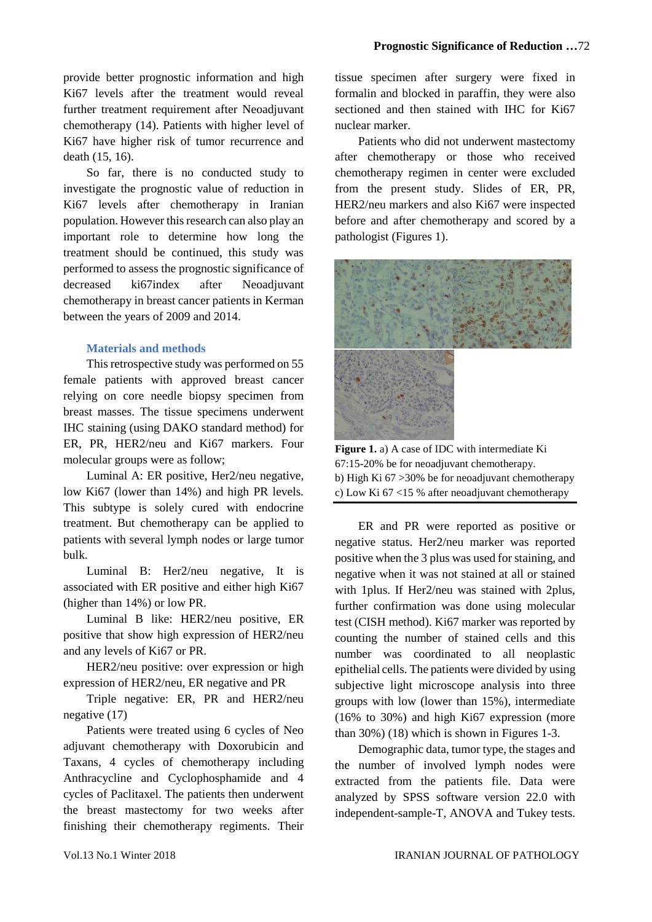provide better prognostic information and high Ki67 levels after the treatment would reveal further treatment requirement after Neoadjuvant chemotherapy (14). Patients with higher level of Ki67 have higher risk of tumor recurrence and death (15, 16).

So far, there is no conducted study to investigate the prognostic value of reduction in Ki67 levels after chemotherapy in Iranian population. However this research can also play an important role to determine how long the treatment should be continued, this study was performed to assess the prognostic significance of decreased ki67index after Neoadjuvant chemotherapy in breast cancer patients in Kerman between the years of 2009 and 2014.

### **Materials and methods**

This retrospective study was performed on 55 female patients with approved breast cancer relying on core needle biopsy specimen from breast masses. The tissue specimens underwent IHC staining (using DAKO standard method) for ER, PR, HER2/neu and Ki67 markers. Four molecular groups were as follow;

Luminal A: ER positive, Her2/neu negative, low Ki67 (lower than 14%) and high PR levels. This subtype is solely cured with endocrine treatment. But chemotherapy can be applied to patients with several lymph nodes or large tumor bulk.

Luminal B: Her2/neu negative, It is associated with ER positive and either high Ki67 (higher than 14%) or low PR.

Luminal B like: HER2/neu positive, ER positive that show high expression of HER2/neu and any levels of Ki67 or PR.

HER2/neu positive: over expression or high expression of HER2/neu, ER negative and PR

Triple negative: ER, PR and HER2/neu negative (17)

Patients were treated using 6 cycles of Neo adjuvant chemotherapy with Doxorubicin and Taxans, 4 cycles of chemotherapy including Anthracycline and Cyclophosphamide and 4 cycles of Paclitaxel. The patients then underwent the breast mastectomy for two weeks after finishing their chemotherapy regiments. Their tissue specimen after surgery were fixed in formalin and blocked in paraffin, they were also sectioned and then stained with IHC for Ki67 nuclear marker.

Patients who did not underwent mastectomy after chemotherapy or those who received chemotherapy regimen in center were excluded from the present study. Slides of ER, PR, HER2/neu markers and also Ki67 were inspected before and after chemotherapy and scored by a pathologist (Figures 1).



**Figure 1.** a) A case of IDC with intermediate Ki 67:15-20% be for neoadjuvant chemotherapy. b) High Ki 67 >30% be for neoadjuvant chemotherapy c) Low Ki 67 <15 % after neoadjuvant chemotherapy

ER and PR were reported as positive or negative status. Her2/neu marker was reported positive when the 3 plus was used for staining, and negative when it was not stained at all or stained with 1plus. If Her2/neu was stained with 2plus, further confirmation was done using molecular test (CISH method). Ki67 marker was reported by counting the number of stained cells and this number was coordinated to all neoplastic epithelial cells. The patients were divided by using subjective light microscope analysis into three groups with low (lower than 15%), intermediate (16% to 30%) and high Ki67 expression (more than 30%) (18) which is shown in Figures 1-3.

Demographic data, tumor type, the stages and the number of involved lymph nodes were extracted from the patients file. Data were analyzed by SPSS software version 22.0 with independent-sample-T, ANOVA and Tukey tests.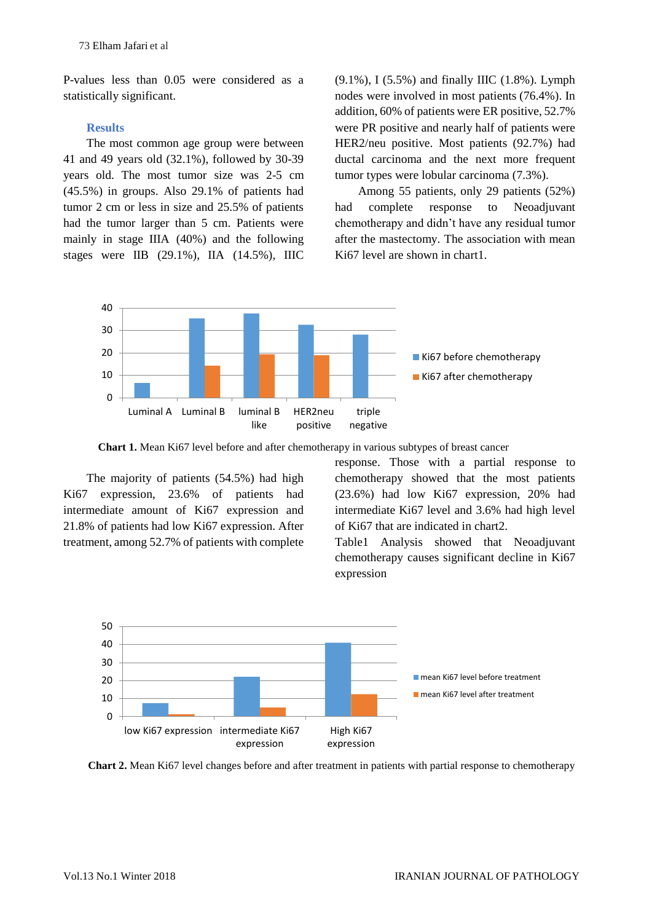P-values less than 0.05 were considered as a statistically significant.

#### **Results**

The most common age group were between 41 and 49 years old (32.1%), followed by 30-39 years old. The most tumor size was 2-5 cm (45.5%) in groups. Also 29.1% of patients had tumor 2 cm or less in size and 25.5% of patients had the tumor larger than 5 cm. Patients were mainly in stage IIIA (40%) and the following stages were IIB (29.1%), IIA (14.5%), IIIC

(9.1%), I (5.5%) and finally IIIC (1.8%). Lymph nodes were involved in most patients (76.4%). In addition, 60% of patients were ER positive, 52.7% were PR positive and nearly half of patients were HER2/neu positive. Most patients (92.7%) had ductal carcinoma and the next more frequent tumor types were lobular carcinoma (7.3%).

Among 55 patients, only 29 patients (52%) had complete response to Neoadjuvant chemotherapy and didn't have any residual tumor after the mastectomy. The association with mean Ki67 level are shown in chart1.



**Chart 1.** Mean Ki67 level before and after chemotherapy in various subtypes of breast cancer

The majority of patients (54.5%) had high Ki67 expression, 23.6% of patients had intermediate amount of Ki67 expression and 21.8% of patients had low Ki67 expression. After treatment, among 52.7% of patients with complete

response. Those with a partial response to chemotherapy showed that the most patients (23.6%) had low Ki67 expression, 20% had intermediate Ki67 level and 3.6% had high level of Ki67 that are indicated in chart2.

Table1 Analysis showed that Neoadjuvant chemotherapy causes significant decline in Ki67 expression



**Chart 2.** Mean Ki67 level changes before and after treatment in patients with partial response to chemotherapy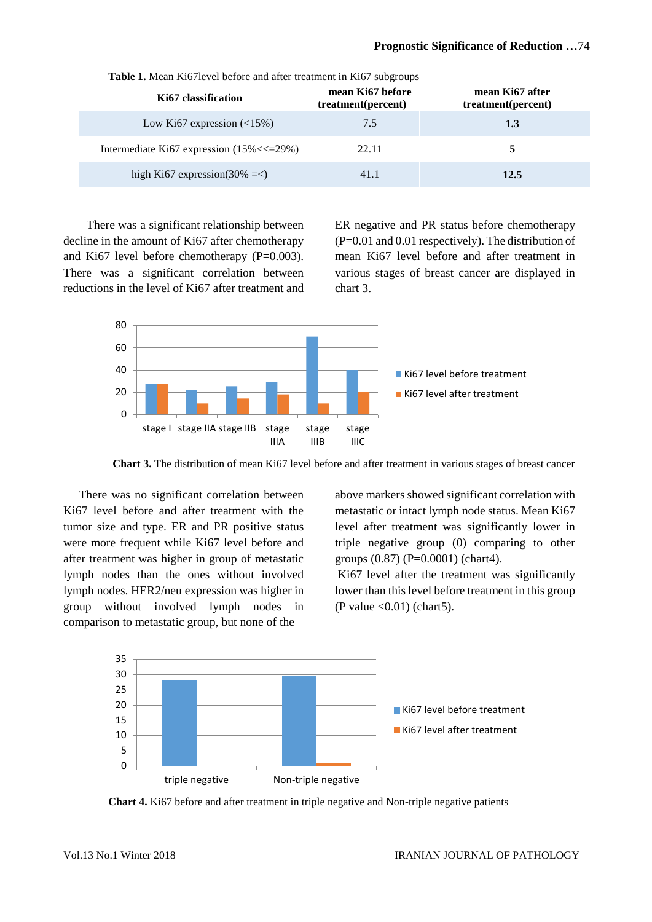| Ki67 classification                            | mean Ki67 before<br>treatment(percent) | mean Ki67 after<br>treatment(percent) |
|------------------------------------------------|----------------------------------------|---------------------------------------|
| Low Ki67 expression $(\leq 15\%)$              | 7.5                                    | 1.3                                   |
| Intermediate Ki67 expression $(15\% \ll 29\%)$ | 22.11                                  |                                       |
| high Ki67 expression(30% $=<$ )                | 41.1                                   | 12.5                                  |

**Table 1.** Mean Ki67level before and after treatment in Ki67 subgroups

There was a significant relationship between decline in the amount of Ki67 after chemotherapy and Ki67 level before chemotherapy (P=0.003). There was a significant correlation between reductions in the level of Ki67 after treatment and ER negative and PR status before chemotherapy (P=0.01 and 0.01 respectively). The distribution of mean Ki67 level before and after treatment in various stages of breast cancer are displayed in chart 3.



**Chart 3.** The distribution of mean Ki67 level before and after treatment in various stages of breast cancer

There was no significant correlation between Ki67 level before and after treatment with the tumor size and type. ER and PR positive status were more frequent while Ki67 level before and after treatment was higher in group of metastatic lymph nodes than the ones without involved lymph nodes. HER2/neu expression was higher in group without involved lymph nodes in comparison to metastatic group, but none of the

above markers showed significant correlation with metastatic or intact lymph node status. Mean Ki67 level after treatment was significantly lower in triple negative group (0) comparing to other groups  $(0.87)$   $(P=0.0001)$  (chart4).

Ki67 level after the treatment was significantly lower than this level before treatment in this group (P value  $\langle 0.01 \rangle$  (chart5).



**Chart 4.** Ki67 before and after treatment in triple negative and Non-triple negative patients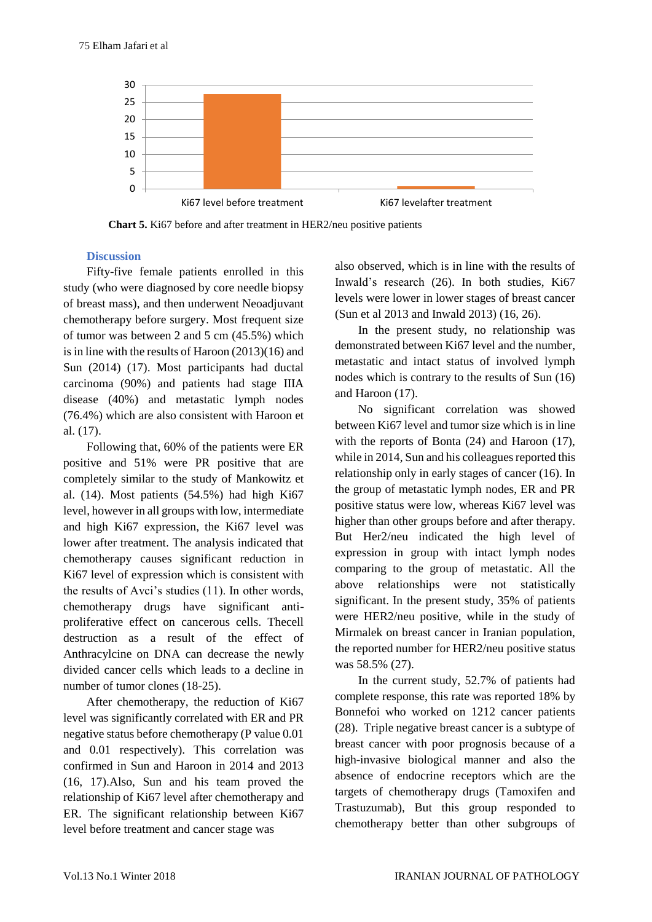

**Chart 5.** Ki67 before and after treatment in HER2/neu positive patients

### **Discussion**

Fifty-five female patients enrolled in this study (who were diagnosed by core needle biopsy of breast mass), and then underwent Neoadjuvant chemotherapy before surgery. Most frequent size of tumor was between 2 and 5 cm (45.5%) which is in line with the results of Haroon (2013)(16) and Sun (2014) (17). Most participants had ductal carcinoma (90%) and patients had stage IIIA disease (40%) and metastatic lymph nodes (76.4%) which are also consistent with Haroon et al. (17).

Following that, 60% of the patients were ER positive and 51% were PR positive that are completely similar to the study of Mankowitz et al. (14). Most patients (54.5%) had high Ki67 level, however in all groups with low, intermediate and high Ki67 expression, the Ki67 level was lower after treatment. The analysis indicated that chemotherapy causes significant reduction in Ki67 level of expression which is consistent with the results of Avci's studies (11). In other words, chemotherapy drugs have significant antiproliferative effect on cancerous cells. Thecell destruction as a result of the effect of Anthracylcine on DNA can decrease the newly divided cancer cells which leads to a decline in number of tumor clones (18-25).

After chemotherapy, the reduction of Ki67 level was significantly correlated with ER and PR negative status before chemotherapy (P value 0.01 and 0.01 respectively). This correlation was confirmed in Sun and Haroon in 2014 and 2013 (16, 17).Also, Sun and his team proved the relationship of Ki67 level after chemotherapy and ER. The significant relationship between Ki67 level before treatment and cancer stage was

also observed, which is in line with the results of Inwald's research (26). In both studies, Ki67 levels were lower in lower stages of breast cancer (Sun et al 2013 and Inwald 2013) (16, 26).

In the present study, no relationship was demonstrated between Ki67 level and the number, metastatic and intact status of involved lymph nodes which is contrary to the results of Sun (16) and Haroon (17).

No significant correlation was showed between Ki67 level and tumor size which is in line with the reports of Bonta (24) and Haroon (17), while in 2014, Sun and his colleagues reported this relationship only in early stages of cancer (16). In the group of metastatic lymph nodes, ER and PR positive status were low, whereas Ki67 level was higher than other groups before and after therapy. But Her2/neu indicated the high level of expression in group with intact lymph nodes comparing to the group of metastatic. All the above relationships were not statistically significant. In the present study, 35% of patients were HER2/neu positive, while in the study of Mirmalek on breast cancer in Iranian population, the reported number for HER2/neu positive status was 58.5% (27).

In the current study, 52.7% of patients had complete response, this rate was reported 18% by Bonnefoi who worked on 1212 cancer patients (28). Triple negative breast cancer is a subtype of breast cancer with poor prognosis because of a high-invasive biological manner and also the absence of endocrine receptors which are the targets of chemotherapy drugs (Tamoxifen and Trastuzumab), But this group responded to chemotherapy better than other subgroups of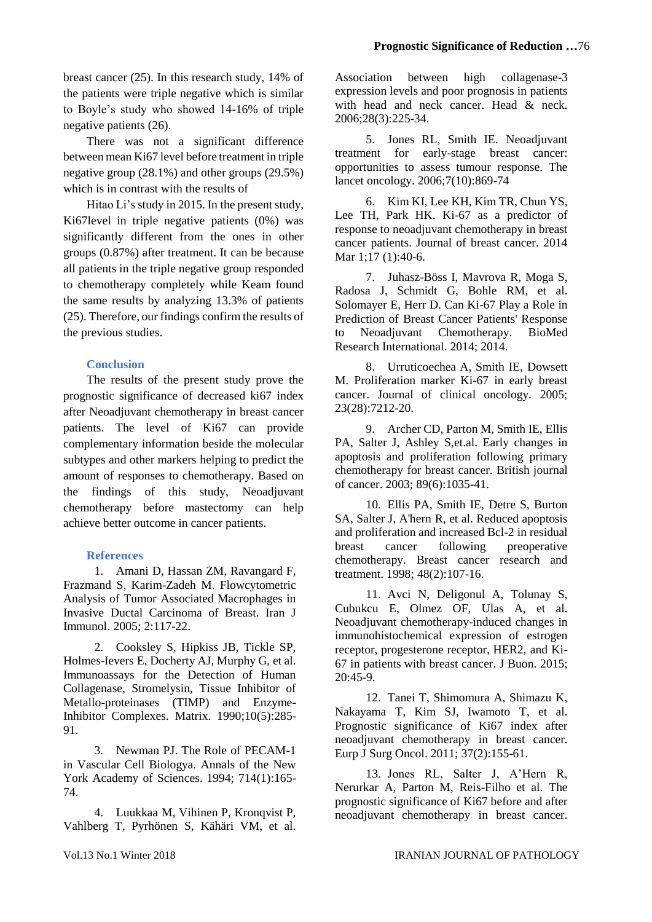breast cancer (25). In this research study, 14% of the patients were triple negative which is similar to Boyle's study who showed 14-16% of triple negative patients (26).

There was not a significant difference between mean Ki67 level before treatment in triple negative group (28.1%) and other groups (29.5%) which is in contrast with the results of

Hitao Li's study in 2015. In the present study, Ki67level in triple negative patients (0%) was significantly different from the ones in other groups (0.87%) after treatment. It can be because all patients in the triple negative group responded to chemotherapy completely while Keam found the same results by analyzing 13.3% of patients (25). Therefore, our findings confirm the results of the previous studies.

# **Conclusion**

The results of the present study prove the prognostic significance of decreased ki67 index after Neoadjuvant chemotherapy in breast cancer patients. The level of Ki67 can provide complementary information beside the molecular subtypes and other markers helping to predict the amount of responses to chemotherapy. Based on the findings of this study, Neoadjuvant chemotherapy before mastectomy can help achieve better outcome in cancer patients.

# **References**

1. Amani D, Hassan ZM, Ravangard F, Frazmand S, Karim-Zadeh M. Flowcytometric Analysis of Tumor Associated Macrophages in Invasive Ductal Carcinoma of Breast. Iran J Immunol. 2005; 2:117-22.

2. Cooksley S, Hipkiss JB, Tickle SP, Holmes-Ievers E, Docherty AJ, Murphy G, et al. Immunoassays for the Detection of Human Collagenase, Stromelysin, Tissue Inhibitor of Metallo-proteinases (TIMP) and Enzyme-Inhibitor Complexes. Matrix. 1990;10(5):285- 91.

3. Newman PJ. The Role of PECAM-1 in Vascular Cell Biologya. Annals of the New York Academy of Sciences. 1994; 714(1):165- 74.

4. Luukkaa M, Vihinen P, Kronqvist P, Vahlberg T, Pyrhönen S, Kähäri VM, et al.

Association between high collagenase-3 expression levels and poor prognosis in patients with head and neck cancer. Head & neck. 2006;28(3):225-34.

5. Jones RL, Smith IE. Neoadjuvant treatment for early-stage breast cancer: opportunities to assess tumour response. The lancet oncology. 2006;7(10):869-74

6. Kim KI, Lee KH, Kim TR, Chun YS, Lee TH, Park HK. Ki-67 as a predictor of response to neoadjuvant chemotherapy in breast cancer patients. Journal of breast cancer. 2014 Mar 1;17 (1):40-6.

7. Juhasz-Böss I, Mavrova R, Moga S, Radosa J, Schmidt G, Bohle RM, et al. Solomayer E, Herr D. Can Ki-67 Play a Role in Prediction of Breast Cancer Patients' Response to Neoadjuvant Chemotherapy. BioMed Research International. 2014; 2014.

8. Urruticoechea A, Smith IE, Dowsett M. Proliferation marker Ki-67 in early breast cancer. Journal of clinical oncology. 2005; 23(28):7212-20.

9. Archer CD, Parton M, Smith IE, Ellis PA, Salter J, Ashley S,et.al. Early changes in apoptosis and proliferation following primary chemotherapy for breast cancer. British journal of cancer. 2003; 89(6):1035-41.

10. Ellis PA, Smith IE, Detre S, Burton SA, Salter J, A'hern R, et al. Reduced apoptosis and proliferation and increased Bcl-2 in residual breast cancer following preoperative chemotherapy. Breast cancer research and treatment. 1998; 48(2):107-16.

11. Avci N, Deligonul A, Tolunay S, Cubukcu E, Olmez OF, Ulas A, et al. Neoadjuvant chemotherapy-induced changes in immunohistochemical expression of estrogen receptor, progesterone receptor, HER2, and Ki-67 in patients with breast cancer. J Buon. 2015;  $20:45-9.$ 

12. Tanei T, Shimomura A, Shimazu K, Nakayama T, Kim SJ, Iwamoto T, et al. Prognostic significance of Ki67 index after neoadjuvant chemotherapy in breast cancer. Eurp J Surg Oncol. 2011; 37(2):155-61.

13. Jones RL, Salter J, A'Hern R, Nerurkar A, Parton M, Reis-Filho et al. The prognostic significance of Ki67 before and after neoadjuvant chemotherapy in breast cancer.